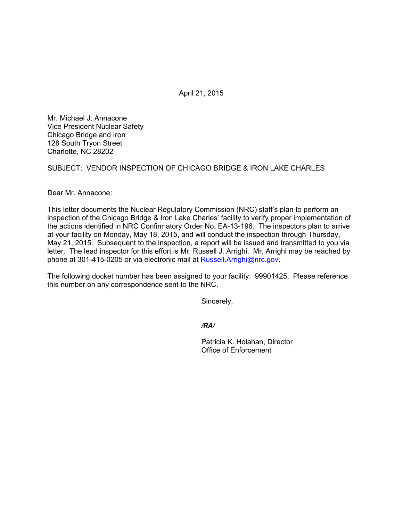April 21, 2015

Mr. Michael J. Annacone Vice President Nuclear Safety Chicago Bridge and Iron 128 South Tryon Street Charlotte, NC 28202

SUBJECT: VENDOR INSPECTION OF CHICAGO BRIDGE & IRON LAKE CHARLES

Dear Mr. Annacone:

This letter documents the Nuclear Regulatory Commission (NRC) staff's plan to perform an inspection of the Chicago Bridge & Iron Lake Charles' facility to verify proper implementation of the actions identified in NRC Confirmatory Order No. EA-13-196. The inspectors plan to arrive at your facility on Monday, May 18, 2015, and will conduct the inspection through Thursday, May 21, 2015. Subsequent to the inspection, a report will be issued and transmitted to you via letter. The lead inspector for this effort is Mr. Russell J. Arrighi. Mr. Arrighi may be reached by phone at 301-415-0205 or via electronic mail at Russell.Arrighi@nrc.gov.

The following docket number has been assigned to your facility: 99901425. Please reference this number on any correspondence sent to the NRC.

Sincerely,

*/RA/* 

Patricia K. Holahan, Director Office of Enforcement